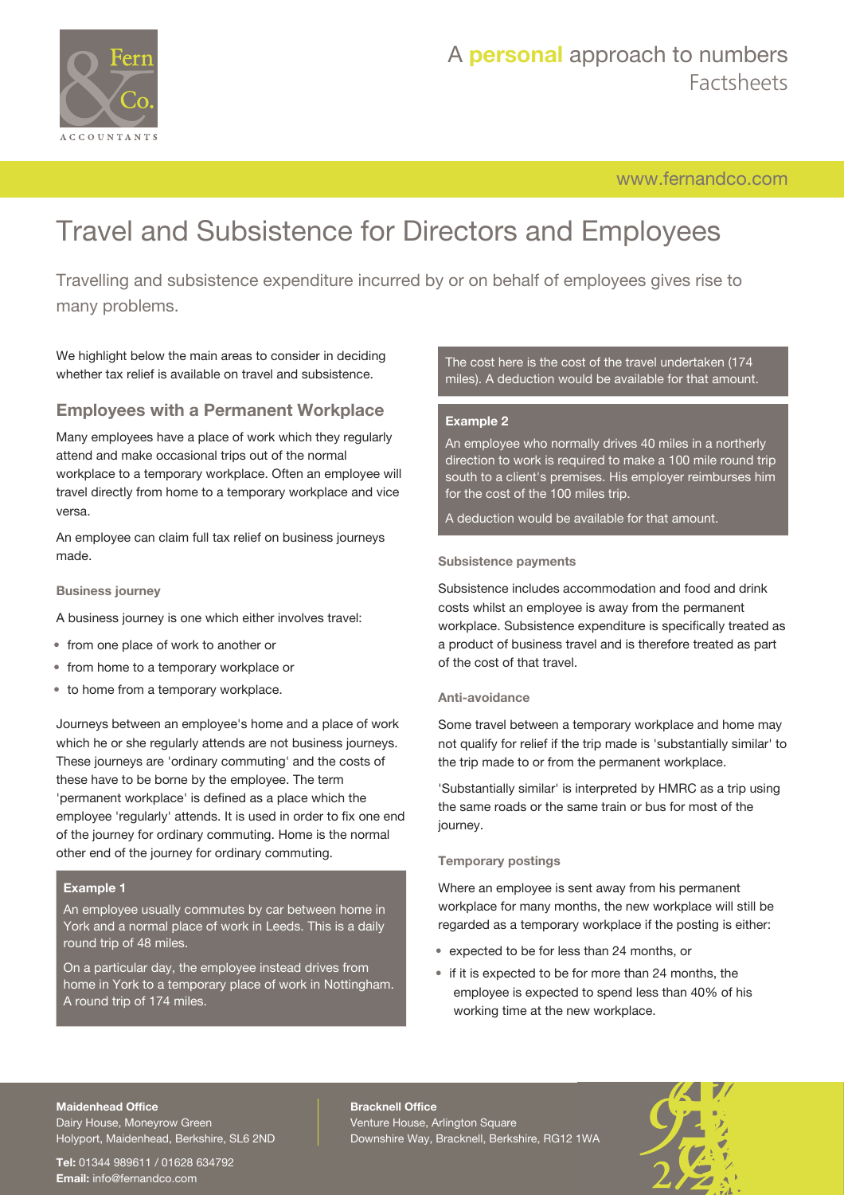

[www.fernandco.com](http://www.fernandco.com)

# Travel and Subsistence for Directors and Employees

Travelling and subsistence expenditure incurred by or on behalf of employees gives rise to many problems.

We highlight below the main areas to consider in deciding whether tax relief is available on travel and subsistence.

## **Employees with a Permanent Workplace**

Many employees have a place of work which they regularly attend and make occasional trips out of the normal workplace to a temporary workplace. Often an employee will travel directly from home to a temporary workplace and vice versa.

An employee can claim full tax relief on business journeys made.

### **Business journey**

- A business journey is one which either involves travel:
- from one place of work to another or
- from home to a temporary workplace or
- to home from a temporary workplace.

Journeys between an employee's home and a place of work which he or she regularly attends are not business journeys. These journeys are 'ordinary commuting' and the costs of these have to be borne by the employee. The term 'permanent workplace' is defined as a place which the employee 'regularly' attends. It is used in order to fix one end of the journey for ordinary commuting. Home is the normal other end of the journey for ordinary commuting.

### **Example 1**

An employee usually commutes by car between home in York and a normal place of work in Leeds. This is a daily round trip of 48 miles.

On a particular day, the employee instead drives from home in York to a temporary place of work in Nottingham. A round trip of 174 miles.

The cost here is the cost of the travel undertaken (174 miles). A deduction would be available for that amount.

### **Example 2**

An employee who normally drives 40 miles in a northerly direction to work is required to make a 100 mile round trip south to a client's premises. His employer reimburses him for the cost of the 100 miles trip.

A deduction would be available for that amount.

### **Subsistence payments**

Subsistence includes accommodation and food and drink costs whilst an employee is away from the permanent workplace. Subsistence expenditure is specifically treated as a product of business travel and is therefore treated as part of the cost of that travel.

### **Anti-avoidance**

Some travel between a temporary workplace and home may not qualify for relief if the trip made is 'substantially similar' to the trip made to or from the permanent workplace.

'Substantially similar' is interpreted by HMRC as a trip using the same roads or the same train or bus for most of the journey.

### **Temporary postings**

Where an employee is sent away from his permanent workplace for many months, the new workplace will still be regarded as a temporary workplace if the posting is either:

- expected to be for less than 24 months, or
- if it is expected to be for more than 24 months, the employee is expected to spend less than 40% of his working time at the new workplace.

#### **Maidenhead Office**

Dairy House, Moneyrow Green Holyport, Maidenhead, Berkshire, SL6 2ND

**Tel:** 01344 989611 / 01628 634792 **Email:** [info@fernandco.com](mailto:info@fernandco.com)

**Bracknell Office** Venture House, Arlington Square Downshire Way, Bracknell, Berkshire, RG12 1WA